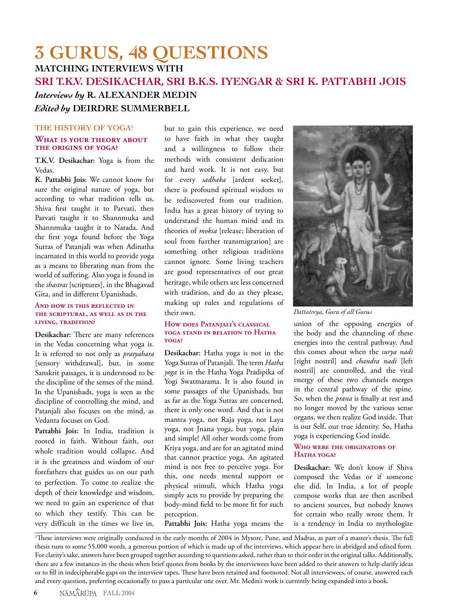# **3 GURUS, 48 QUESTIONS MATCHING INTERVIEWS WITH SRI T.K.V. DESIKACHAR, SRI B.K.S. IYENGAR & SRI K. PATTABHI JOIS** *Interviews by* **R. ALEXANDER MEDIN** *Edited by* **DEIRDRE SUMMERBELL**

### **THE HISTORY OF YOGA1**

### **WHAT IS YOUR THEORY ABOUT THE ORIGINS OF YOGA?**

**T.K.V. Desikachar:** Yoga is from the Vedas.

**K. Pattabhi Jois:** We cannot know for sure the original nature of yoga, but according to what tradition tells us, Shiva first taught it to Parvati, then Parvati taught it to Shannmuka and Shannmuka taught it to Narada. And the first yoga found before the Yoga Sutras of Patanjali was when Adinatha incarnated in this world to provide yoga as a means to liberating man from the world of suffering. Also yoga is found in the *shastras* [scriptures], in the Bhagavad Gita, and in different Upanishads.

### **AND HOW IS THIS REFLECTED IN THE SCRIPTURAL, AS WELL AS IN THE LIVING, TRADITION?**

**Desikachar:** There are many references in the Vedas concerning what yoga is. It is referred to not only as *pratyahara*  [sensory withdrawal], but, in some Sanskrit passages, it is understood to be the discipline of the senses of the mind. In the Upanishads, yoga is seen as the discipline of controlling the mind, and Patanjali also focuses on the mind, as Vedanta focuses on God.

**Pattabhi Jois:** In India, tradition is rooted in faith. Without faith, our whole tradition would collapse. And it is the greatness and wisdom of our forefathers that guides us on our path to perfection. To come to realize the depth of their knowledge and wisdom, we need to gain an experience of that to which they testify. This can be very difficult in the times we live in,

but to gain this experience, we need to have faith in what they taught and a willingness to follow their methods with consistent dedication and hard work. It is not easy, but for every *sadhaka* [ardent seeker], there is profound spiritual wisdom to be rediscovered from our tradition. India has a great history of trying to understand the human mind and its theories of *moksa* [release; liberation of soul from further transmigration] are something other religious traditions cannot ignore. Some living teachers are good representatives of our great heritage, while others are less concerned with tradition, and do as they please, making up rules and regulations of their own.

#### **HOW DOES PATANJALI'S CLASSICAL YOGA STAND IN RELATION TO HATHA YOGA?**

**Desikachar:** Hatha yoga is not in the Yoga Sutras of Patanjali. The term *Hatha yoga* is in the Hatha Yoga Pradipika of Yogi Swatmarama. It is also found in some passages of the Upanishads, but as far as the Yoga Sutras are concerned, there is only one word. And that is not mantra yoga, not Raja yoga, not Laya yoga, not Jnana yoga, but yoga, plain and simple! All other words come from Kriya yoga, and are for an agitated mind that cannot practice yoga. An agitated mind is not free to perceive yoga. For this, one needs mental support or physical stimuli, which Hatha yoga simply acts to provide by preparing the body-mind field to be more fit for such perception.

**Pattabhi Jois:** Hatha yoga means the



*Dattatreya, Guru of all Gurus*

union of the opposing energies of the body and the channeling of these energies into the central pathway. And this comes about when the *surya nadi*  [right nostril] and *chandra nadi* [left nostril] are controlled, and the vital energy of these two channels merges in the central pathway of the spine. So, when the *prana* is finally at rest and no longer moved by the various sense organs, we then realize God inside. That is our Self, our true identity. So, Hatha yoga is experiencing God inside.

### **WHO WERE THE ORIGINATORS OF HATHA YOGA?**

**Desikachar:** We don't know if Shiva composed the Vedas or if someone else did. In India, a lot of people compose works that are then ascribed to ancient sources, but nobody knows for certain who really wrote them. It is a tendency in India to mythologize

1 These interviews were originally conducted in the early months of 2004 in Mysore, Pune, and Madras, as part of a master's thesis. The full thesis runs to some 55,000 words, a generous portion of which is made up of the interviews, which appear here in abridged and edited form. For clarity's sake, answers have been grouped together according to questions asked, rather than to their order in the original talks. Additionally, there are a few instances in the thesis when brief quotes from books by the interviewees have been added to their answers to help clarify ideas or to fill in indecipherable gaps on the interview tapes. These have been retained and footnoted. Not all interviewees, of course, answered each and every question, preferring occasionally to pass a particular one over. Mr. Medin's work is currently being expanded into a book.

**6** NAMARUPA FALL 2004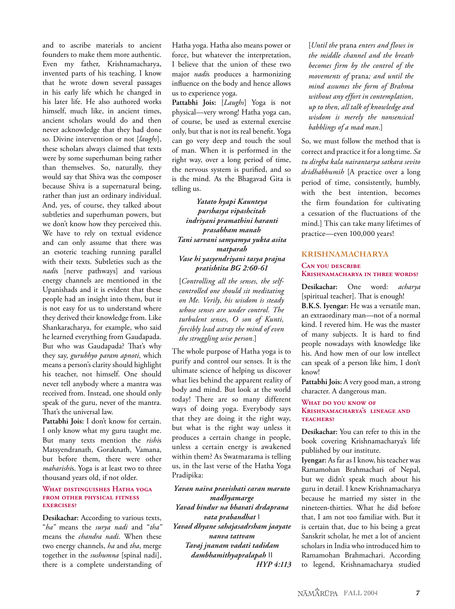and to ascribe materials to ancient founders to make them more authentic. Even my father, Krishnamacharya, invented parts of his teaching. I know that he wrote down several passages in his early life which he changed in his later life. He also authored works himself, much like, in ancient times, ancient scholars would do and then never acknowledge that they had done so. Divine intervention or not [*laughs*], these scholars always claimed that texts were by some superhuman being rather than themselves. So, naturally, they would say that Shiva was the composer because Shiva is a supernatural being, rather than just an ordinary individual. And, yes, of course, they talked about subtleties and superhuman powers, but we don't know how they perceived this. We have to rely on textual evidence and can only assume that there was an esoteric teaching running parallel with their texts. Subtleties such as the *nadi*s [nerve pathways] and various energy channels are mentioned in the Upanishads and it is evident that these people had an insight into them, but it is not easy for us to understand where they derived their knowledge from. Like Shankaracharya, for example, who said he learned everything from Gaudapada. But who was Gaudapada? That's why they say, *gurubhyo param apnoti*, which means a person's clarity should highlight his teacher, not himself. One should never tell anybody where a mantra was received from. Instead, one should only speak of the guru, never of the mantra. That's the universal law.

**Pattabhi Jois:** I don't know for certain. I only know what my guru taught me. But many texts mention the *rishi*s Matsyendranath, Goraknath, Vamana, but before them, there were other *maharishi*s. Yoga is at least two to three thousand years old, if not older.

#### **WHAT DISTINGUISHES HATHA YOGA FROM OTHER PHYSICAL FITNESS EXERCISES?**

**Desikachar:** According to various texts, "*ha"* means the *surya nadi* and "*tha"* means the *chandra nadi*. When these two energy channels, *ha* and *tha*, merge together in the *sushumna* [spinal nadi], there is a complete understanding of

Hatha yoga. Hatha also means power or force, but whatever the interpretation, I believe that the union of these two major *nadi*s produces a harmonizing influence on the body and hence allows us to experience yoga.

**Pattabhi Jois:** [*Laughs*] Yoga is not physical—very wrong! Hatha yoga can, of course, be used as external exercise only, but that is not its real benefit. Yoga can go very deep and touch the soul of man. When it is performed in the right way, over a long period of time, the nervous system is purified, and so is the mind. As the Bhagavad Gita is telling us.

*Yatato hyapi Kaunteya purshasya vipashcitah indriyani pramathini haranti prasabham manah Tani sarvani samyamya yukta asita matparah Vase hi yasyendriyani tasya prajna pratishtita BG 2:60-61*

[*Controlling all the senses, the selfcontrolled one should sit meditating on Me. Verily, his wisdom is steady whose senses are under control. The turbulent senses, O son of Kunti, forcibly lead astray the mind of even the struggling wise person.*]

The whole purpose of Hatha yoga is to purify and control our senses. It is the ultimate science of helping us discover what lies behind the apparent reality of body and mind. But look at the world today! There are so many different ways of doing yoga. Everybody says that they are doing it the right way, but what is the right way unless it produces a certain change in people, unless a certain energy is awakened within them? As Swatmarama is telling us, in the last verse of the Hatha Yoga Pradipika:

*Yavan naiva pravishati caran maruto madhyamarge Yavad bindur na bhavati drdaprana vata prabandhat | Yavad dhyane sahajasadrsham jaayate nanva tattvam Tavaj jnanam vadati tadidam dambhamithyapralapah || HYP 4:113* [*Until the* prana *enters and flows in the middle channel and the breath becomes firm by the control of the movements of* prana*; and until the mind assumes the form of Brahma without any effort in contemplation, up to then, all talk of knowledge and wisdom is merely the nonsensical babblings of a mad man.*]

So, we must follow the method that is correct and practice it for a long time. *Sa tu dirgha kala nairantarya satkara sevito dridhabhumih* [A practice over a long period of time, consistently, humbly, with the best intention, becomes the firm foundation for cultivating a cessation of the fluctuations of the mind.] This can take many lifetimes of practice—even 100,000 years!

### **KRISHNAMACHARYA**

#### **CAN YOU DESCRIBE KRISHNAMACHARYA IN THREE WORDS?**

**Desikachar:** One word: *acharya* [spiritual teacher]. That is enough! **B.K.S. Iyengar:** He was a versatile man, an extraordinary man—not of a normal kind. I revered him. He was the master of many subjects. It is hard to find people nowadays with knowledge like his. And how men of our low intellect can speak of a person like him, I don't know!

**Pattabhi Jois:** A very good man, a strong character. A dangerous man.

### **WHAT DO YOU KNOW OF KRISHNAMACHARYA'S LINEAGE AND TEACHERS?**

**Desikachar:** You can refer to this in the book covering Krishnamacharya's life published by our institute.

**Iyengar:** As far as I know, his teacher was Ramamohan Brahmachari of Nepal, but we didn't speak much about his guru in detail. I knew Krishnamacharya because he married my sister in the nineteen-thirties. What he did before that, I am not too familiar with. But it is certain that, due to his being a great Sanskrit scholar, he met a lot of ancient scholars in India who introduced him to Ramamohan Brahmachari. According to legend, Krishnamacharya studied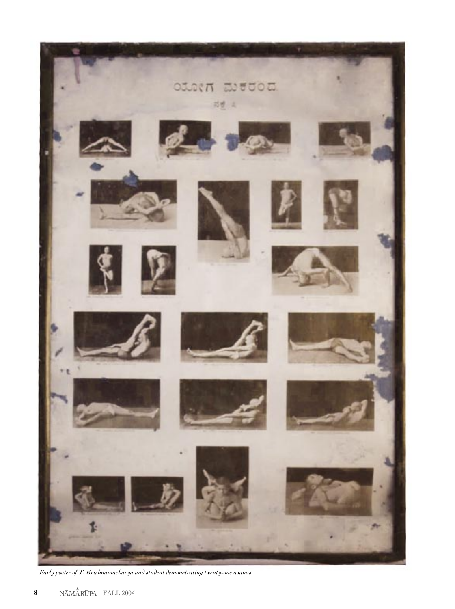

*Early poster of T. Krishnamacharya and student demonstrating twenty-one asanas.*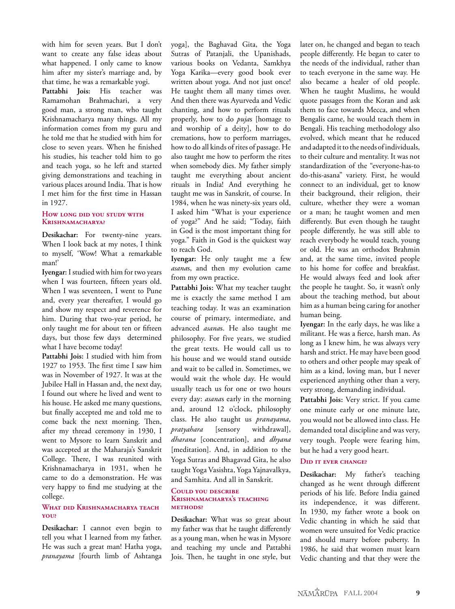with him for seven years. But I don't want to create any false ideas about what happened. I only came to know him after my sister's marriage and, by that time, he was a remarkable yogi.

**Pattabhi Jois:** His teacher was Ramamohan Brahmachari, a very good man, a strong man, who taught Krishnamacharya many things. All my information comes from my guru and he told me that he studied with him for close to seven years. When he finished his studies, his teacher told him to go and teach yoga, so he left and started giving demonstrations and teaching in various places around India. That is how I met him for the first time in Hassan in 1927.

### **HOW LONG DID YOU STUDY WITH KRISHNAMACHARYA?**

**Desikachar:** For twenty-nine years. When I look back at my notes, I think to myself, 'Wow! What a remarkable man!'

**Iyengar:** I studied with him for two years when I was fourteen, fifteen years old. When I was seventeen, I went to Pune and, every year thereafter, I would go and show my respect and reverence for him. During that two-year period, he only taught me for about ten or fifteen days, but those few days determined what I have become today!

**Pattabhi Jois:** I studied with him from 1927 to 1953. The first time I saw him was in November of 1927. It was at the Jubilee Hall in Hassan and, the next day, I found out where he lived and went to his house. He asked me many questions, but finally accepted me and told me to come back the next morning. Then, after my thread ceremony in 1930, I went to Mysore to learn Sanskrit and was accepted at the Maharaja's Sanskrit College. There, I was reunited with Krishnamacharya in 1931, when he came to do a demonstration. He was very happy to find me studying at the college.

### **WHAT DID KRISHNAMACHARYA TEACH YOU?**

**Desikachar:** I cannot even begin to tell you what I learned from my father. He was such a great man! Hatha yoga, *pranayama* [fourth limb of Ashtanga yoga], the Baghavad Gita, the Yoga Sutras of Patanjali, the Upanishads, various books on Vedanta, Samkhya Yoga Karika—every good book ever written about yoga. And not just once! He taught them all many times over. And then there was Ayurveda and Vedic chanting, and how to perform rituals properly, how to do *puja*s [homage to and worship of a deity], how to do cremations, how to perform marriages, how to do all kinds of rites of passage. He also taught me how to perform the rites when somebody dies. My father simply taught me everything about ancient rituals in India! And everything he taught me was in Sanskrit, of course. In 1984, when he was ninety-six years old, I asked him "What is your experience of yoga?" And he said; "Today, faith in God is the most important thing for yoga." Faith in God is the quickest way to reach God.

**Iyengar:** He only taught me a few *asana*s, and then my evolution came from my own practice.

**Pattabhi Jois:** What my teacher taught me is exactly the same method I am teaching today. It was an examination course of primary, intermediate, and advanced *asana*s. He also taught me philosophy. For five years, we studied the great texts. He would call us to his house and we would stand outside and wait to be called in. Sometimes, we would wait the whole day. He would usually teach us for one or two hours every day: *asana*s early in the morning and, around 12 o'clock, philosophy class. He also taught us *pranayama*, *pratyahara* [sensory withdrawal], *dharana* [concentration], and *dhyana* [meditation]. And, in addition to the Yoga Sutras and Bhagavad Gita, he also taught Yoga Vasishta, Yoga Yajnavalkya, and Samhita. And all in Sanskrit.

#### **COULD YOU DESCRIBE KRISHNAMACHARYA'S TEACHING METHODS?**

**Desikachar:** What was so great about my father was that he taught differently as a young man, when he was in Mysore and teaching my uncle and Pattabhi Jois. Then, he taught in one style, but

later on, he changed and began to teach people differently. He began to cater to the needs of the individual, rather than to teach everyone in the same way. He also became a healer of old people. When he taught Muslims, he would quote passages from the Koran and ask them to face towards Mecca, and when Bengalis came, he would teach them in Bengali. His teaching methodology also evolved, which meant that he reduced and adapted it to the needs of individuals, to their culture and mentality. It was not standardization of the "everyone-has-to do-this-asana" variety. First, he would connect to an individual, get to know their background, their religion, their culture, whether they were a woman or a man; he taught women and men differently. But even though he taught people differently, he was still able to reach everybody he would teach, young or old. He was an orthodox Brahmin and, at the same time, invited people to his home for coffee and breakfast. He would always feed and look after the people he taught. So, it wasn't only about the teaching method, but about him as a human being caring for another human being.

**Iyengar:** In the early days, he was like a militant. He was a fierce, harsh man. As long as I knew him, he was always very harsh and strict. He may have been good to others and other people may speak of him as a kind, loving man, but I never experienced anything other than a very, very strong, demanding individual.

**Pattabhi Jois:** Very strict. If you came one minute early or one minute late, you would not be allowed into class. He demanded total discipline and was very, very tough. People were fearing him, but he had a very good heart.

### **DID IT EVER CHANGE?**

**Desikachar:** My father's teaching changed as he went through different periods of his life. Before India gained its independence, it was different. In 1930, my father wrote a book on Vedic chanting in which he said that women were unsuited for Vedic practice and should marry before puberty. In 1986, he said that women must learn Vedic chanting and that they were the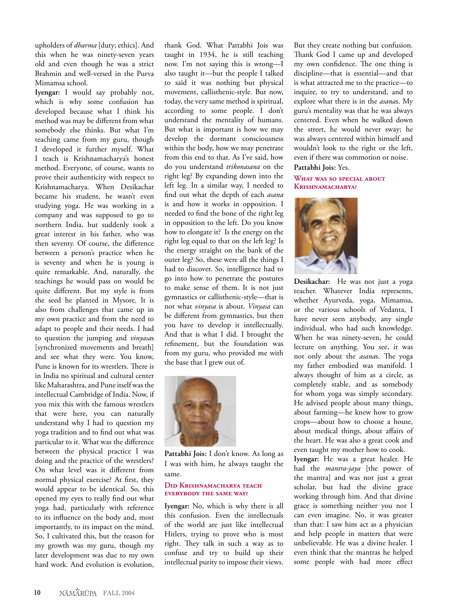upholders of *dharma* [duty; ethics]. And this when he was ninety-seven years old and even though he was a strict Brahmin and well-versed in the Purva Mimamsa school.

**Iyengar:** I would say probably not, which is why some confusion has developed because what I think his method was may be different from what somebody else thinks. But what I'm teaching came from my guru, though I developed it further myself. What I teach is Krishnamacharya's honest method. Everyone, of course, wants to prove their authenticity with respect to Krishnamacharya. When Desikachar became his student, he wasn't even studying yoga. He was working in a company and was supposed to go to northern India, but suddenly took a great interest in his father, who was then seventy. Of course, the difference between a person's practice when he is seventy and when he is young is quite remarkable. And, naturally, the teachings he would pass on would be quite different. But my style is from the seed he planted in Mysore. It is also from challenges that came up in my own practice and from the need to adapt to people and their needs. I had to question the jumping and *vinyasa*s [synchronized movements and breath] and see what they were. You know, Pune is known for its wrestlers. There is in India no spiritual and cultural center like Maharashtra, and Pune itself was the intellectual Cambridge of India. Now, if you mix this with the famous wrestlers that were here, you can naturally understand why I had to question my yoga tradition and to find out what was particular to it. What was the difference between the physical practice I was doing and the practice of the wrestlers? On what level was it different from normal physical exercise? At first, they would appear to be identical. So, this opened my eyes to really find out what yoga had, particularly with reference to its influence on the body and, most importantly, to its impact on the mind. So, I cultivated this, but the reason for my growth was my guru, though my later development was due to my own hard work. And evolution is evolution,

thank God. What Pattabhi Jois was taught in 1934, he is still teaching now. I'm not saying this is wrong—I also taught it—but the people I talked to said it was nothing but physical movement, callisthenic-style. But now, today, the very same method is spiritual, according to some people. I don't understand the mentality of humans. But what is important is how we may develop the dormant consciousness within the body, how we may penetrate from this end to that. As I've said, how do you understand *trikonasana* on the right leg? By expanding down into the left leg. In a similar way, I needed to find out what the depth of each *asana* is and how it works in opposition. I needed to find the bone of the right leg in opposition to the left. Do you know how to elongate it? Is the energy on the right leg equal to that on the left leg? Is the energy straight on the bank of the outer leg? So, these were all the things I had to discover. So, intelligence had to go into how to penetrate the postures to make sense of them. It is not just gymnastics or callisthenic-style—that is not what *vinyasa* is about. *Vinyasa* can be different from gymnastics, but then you have to develop it intellectually. And that is what I did. I brought the refinement, but the foundation was from my guru, who provided me with the base that I grew out of.



**Pattabhi Jois:** I don't know. As long as I was with him, he always taught the same.

### **DID KRISHNAMACHARYA TEACH EVERYBODY THE SAME WAY?**

**Iyengar:** No, which is why there is all this confusion. Even the intellectuals of the world are just like intellectual Hitlers, trying to prove who is most right. They talk in such a way as to confuse and try to build up their intellectual purity to impose their views.

But they create nothing but confusion. Thank God I came up and developed my own confidence. The one thing is discipline—that is essential—and that is what attracted me to the practice—to inquire, to try to understand, and to explore what there is in the *asana*s. My guru's mentality was that he was always centered. Even when he walked down the street, he would never sway; he was always centered within himself and wouldn't look to the right or the left, even if there was commotion or noise. **Pattabhi Jois:** Yes.

#### **WHAT WAS SO SPECIAL ABOUT KRISHNAMACHARYA?**



**Desikachar:** He was not just a yoga teacher. Whatever India represents, whether Ayurveda, yoga, Mimamsa, or the various schools of Vedanta, I have never seen anybody, any single individual, who had such knowledge. When he was ninety-seven, he could lecture on anything. You see, it was not only about the *asana*s. The yoga my father embodied was manifold. I always thought of him as a circle, as completely stable, and as somebody for whom yoga was simply secondary. He advised people about many things, about farming—he knew how to grow crops—about how to choose a house, about medical things, about affairs of the heart. He was also a great cook and even taught my mother how to cook.

**Iyengar:** He was a great healer. He had the *mantra-jaya* [the power of the mantra] and was not just a great scholar, but had the divine grace working through him. And that divine grace is something neither you nor I can even imagine. No, it was greater than that: I saw him act as a physician and help people in matters that were unbelievable. He was a divine healer. I even think that the mantras he helped some people with had more effect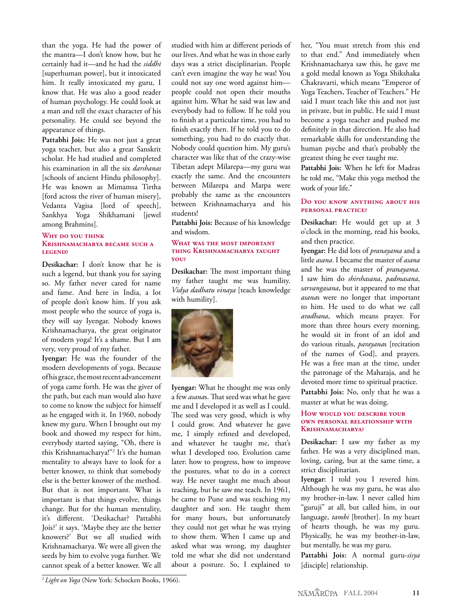than the yoga. He had the power of the mantra—I don't know how, but he certainly had it—and he had the *siddhi* [superhuman power], but it intoxicated him. It really intoxicated my guru, I know that. He was also a good reader of human psychology. He could look at a man and tell the exact character of his personality. He could see beyond the appearance of things.

**Pattabhi Jois:** He was not just a great yoga teacher, but also a great Sanskrit scholar. He had studied and completed his examination in all the six *darshanas* [schools of ancient Hindu philosophy]. He was known as Mimamsa Tirtha [ford across the river of human misery], Vedanta Vagisa [lord of speech], Sankhya Yoga Shikhamani [jewel among Brahmins].

### **WHY DO YOU THINK**

### **KRISHNAMACHARYA BECAME SUCH A LEGEND?**

**Desikachar:** I don't know that he is such a legend, but thank you for saying so. My father never cared for name and fame. And here in India, a lot of people don't know him. If you ask most people who the source of yoga is, they will say Iyengar. Nobody knows Krishnamacharya, the great originator of modern yoga! It's a shame. But I am very, very proud of my father.

**Iyengar:** He was the founder of the modern developments of yoga. Because of his grace, the most recent advancement of yoga came forth. He was the giver of the path, but each man would also have to come to know the subject for himself as he engaged with it. In 1960, nobody knew my guru. When I brought out my book and showed my respect for him, everybody started saying, "Oh, there is this Krishnamacharya!"2 It's the human mentality to always have to look for a better knower, to think that somebody else is the better knower of the method. But that is not important. What is important is that things evolve, things change. But for the human mentality, it's different. 'Desikachar? Pattabhi Jois?' it says. 'Maybe they are the better knowers?' But we all studied with Krishnamacharya. We were all given the seeds by him to evolve yoga further. We cannot speak of a better knower. We all

studied with him at different periods of our lives. And what he was in those early days was a strict disciplinarian. People can't even imagine the way he was! You could not say one word against him people could not open their mouths against him. What he said was law and everybody had to follow. If he told you to finish at a particular time, you had to finish exactly then. If he told you to do something, you had to do exactly that. Nobody could question him. My guru's character was like that of the crazy-wise Tibetan adept Milarepa—my guru was exactly the same. And the encounters between Milarepa and Marpa were probably the same as the encounters between Krishnamacharya and his students!

**Pattabhi Jois:** Because of his knowledge and wisdom.

### **WHAT WAS THE MOST IMPORTANT THING KRISHNAMACHARYA TAUGHT YOU?**

**Desikachar:** The most important thing my father taught me was humility. *Vidya dadhatu vinaya* [teach knowledge with humility].



**Iyengar:** What he thought me was only a few *asana*s. That seed was what he gave me and I developed it as well as I could. The seed was very good, which is why I could grow. And whatever he gave me, I simply refined and developed, and whatever he taught me, that's what I developed too. Evolution came later: how to progress, how to improve the postures, what to do in a correct way. He never taught me much about teaching, but he saw me teach. In 1961, he came to Pune and was teaching my daughter and son. He taught them for many hours, but unfortunately they could not get what he was trying to show them. When I came up and asked what was wrong, my daughter told me what she did not understand about a posture. So, I explained to

her, "You must stretch from this end to that end." And immediately when Krishnamacharya saw this, he gave me a gold medal known as Yoga Shikshaka Chakravarti, which means "Emperor of Yoga Teachers, Teacher of Teachers." He said I must teach like this and not just in private, but in public. He said I must become a yoga teacher and pushed me definitely in that direction. He also had remarkable skills for understanding the human psyche and that's probably the greatest thing he ever taught me.

**Pattabhi Jois:** When he left for Madras he told me, "Make this yoga method the work of your life."

### **DO YOU KNOW ANYTHING ABOUT HIS PERSONAL PRACTICE?**

**Desikachar:** He would get up at 3 o'clock in the morning, read his books, and then practice.

**Iyengar:** He did lots of *pranayama* and a little *asana*. I became the master of *asana* and he was the master of *pranayama*. I saw him do *shirshasana*, *padmasana*, *sarvangasana*, but it appeared to me that *asana*s were no longer that important to him. He used to do what we call *aradhana*, which means prayer. For more than three hours every morning, he would sit in front of an idol and do various rituals, *parayana*s [recitation of the names of God], and prayers. He was a free man at the time, under the patronage of the Maharaja, and he devoted more time to spiritual practice. **Pattabhi Jois:** No, only that he was a master at what he was doing.

### **HOW WOULD YOU DESCRIBE YOUR OWN PERSONAL RELATIONSHIP WITH KRISHNAMACHARYA?**

**Desikachar:** I saw my father as my father. He was a very disciplined man, loving, caring, but at the same time, a strict disciplinarian.

**Iyengar:** I told you I revered him. Although he was my guru, he was also my brother-in-law. I never called him "guruji" at all, but called him, in our language, *tambi* [brother]. In my heart of hearts though, he was my guru. Physically, he was my brother-in-law, but mentally, he was my guru.

**Pattabhi Jois:** A normal guru-*sisya* [disciple] relationship.

<sup>2</sup>*Light on Yoga* (New York: Schocken Books, 1966).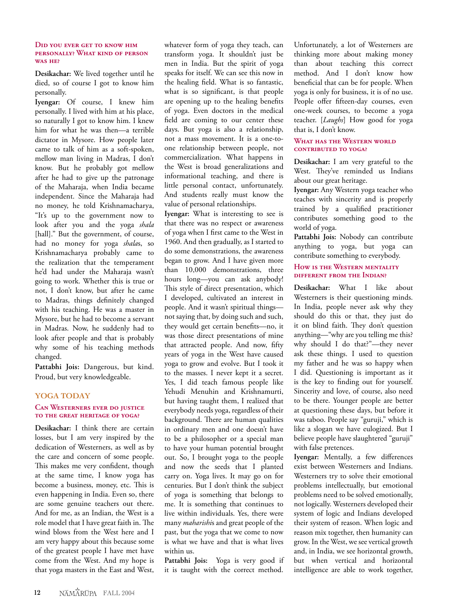### **DID YOU EVER GET TO KNOW HIM PERSONALLY? WHAT KIND OF PERSON WAS HE?**

**Desikachar:** We lived together until he died, so of course I got to know him personally.

**Iyengar:** Of course, I knew him personally. I lived with him at his place, so naturally I got to know him. I knew him for what he was then—a terrible dictator in Mysore. How people later came to talk of him as a soft-spoken, mellow man living in Madras, I don't know. But he probably got mellow after he had to give up the patronage of the Maharaja, when India became independent. Since the Maharaja had no money, he told Krishnamacharya, "It's up to the government now to look after you and the yoga *shala* [hall]." But the government, of course, had no money for yoga *shala*s, so Krishnamacharya probably came to the realization that the temperament he'd had under the Maharaja wasn't going to work. Whether this is true or not, I don't know, but after he came to Madras, things definitely changed with his teaching. He was a master in Mysore, but he had to become a servant in Madras. Now, he suddenly had to look after people and that is probably why some of his teaching methods changed.

**Pattabhi Jois:** Dangerous, but kind. Proud, but very knowledgeable.

### **YOGA TODAY**

### **CAN WESTERNERS EVER DO JUSTICE TO THE GREAT HERITAGE OF YOGA?**

**Desikachar:** I think there are certain losses, but I am very inspired by the dedication of Westerners, as well as by the care and concern of some people. This makes me very confident, though at the same time, I know yoga has become a business, money, etc. This is even happening in India. Even so, there are some genuine teachers out there. And for me, as an Indian, the West is a role model that I have great faith in. The wind blows from the West here and I am very happy about this because some of the greatest people I have met have come from the West. And my hope is that yoga masters in the East and West,

whatever form of yoga they teach, can transform yoga. It shouldn't just be men in India. But the spirit of yoga speaks for itself. We can see this now in the healing field. What is so fantastic, what is so significant, is that people are opening up to the healing benefits of yoga. Even doctors in the medical field are coming to our center these days. But yoga is also a relationship, not a mass movement. It is a one-toone relationship between people, not commercialization. What happens in the West is broad generalizations and informational teaching, and there is little personal contact, unfortunately. And students really must know the value of personal relationships.

**Iyengar:** What is interesting to see is that there was no respect or awareness of yoga when I first came to the West in 1960. And then gradually, as I started to do some demonstrations, the awareness began to grow. And I have given more than 10,000 demonstrations, three hours long—you can ask anybody! This style of direct presentation, which I developed, cultivated an interest in people. And it wasn't spiritual things not saying that, by doing such and such, they would get certain benefits—no, it was those direct presentations of mine that attracted people. And now, fifty years of yoga in the West have caused yoga to grow and evolve. But I took it to the masses. I never kept it a secret. Yes, I did teach famous people like Yehudi Menuhin and Krishnamurti, but having taught them, I realized that everybody needs yoga, regardless of their background. There are human qualities in ordinary men and one doesn't have to be a philosopher or a special man to have your human potential brought out. So, I brought yoga to the people and now the seeds that I planted carry on. Yoga lives. It may go on for centuries. But I don't think the subject of yoga is something that belongs to me. It is something that continues to live within individuals. Yes, there were many *maharishi*s and great people of the past, but the yoga that we come to now is what we have and that is what lives within us.

**Pattabhi Jois:** Yoga is very good if it is taught with the correct method.

Unfortunately, a lot of Westerners are thinking more about making money than about teaching this correct method. And I don't know how beneficial that can be for people. When yoga is only for business, it is of no use. People offer fifteen-day courses, even one-week courses, to become a yoga teacher. [*Laughs*] How good for yoga that is, I don't know.

### **WHAT HAS THE WESTERN WORLD CONTRIBUTED TO YOGA?**

**Desikachar:** I am very grateful to the West. They've reminded us Indians about our great heritage.

**Iyengar:** Any Western yoga teacher who teaches with sincerity and is properly trained by a qualified practitioner contributes something good to the world of yoga.

**Pattabhi Jois:** Nobody can contribute anything to yoga, but yoga can contribute something to everybody.

### **HOW IS THE WESTERN MENTALITY DIFFERENT FROM THE INDIAN?**

**Desikachar:** What I like about Westerners is their questioning minds. In India, people never ask why they should do this or that, they just do it on blind faith. They don't question anything—"why are you telling me this? why should I do that?"—they never ask these things. I used to question my father and he was so happy when I did. Questioning is important as it is the key to finding out for yourself. Sincerity and love, of course, also need to be there. Younger people are better at questioning these days, but before it was taboo. People say "guruji," which is like a slogan we have eulogized. But I believe people have slaughtered "guruji" with false pretences.

**Iyengar:** Mentally, a few differences exist between Westerners and Indians. Westerners try to solve their emotional problems intellectually, but emotional problems need to be solved emotionally, not logically. Westerners developed their system of logic and Indians developed their system of reason. When logic and reason mix together, then humanity can grow. In the West, we see vertical growth and, in India, we see horizontal growth, but when vertical and horizontal intelligence are able to work together,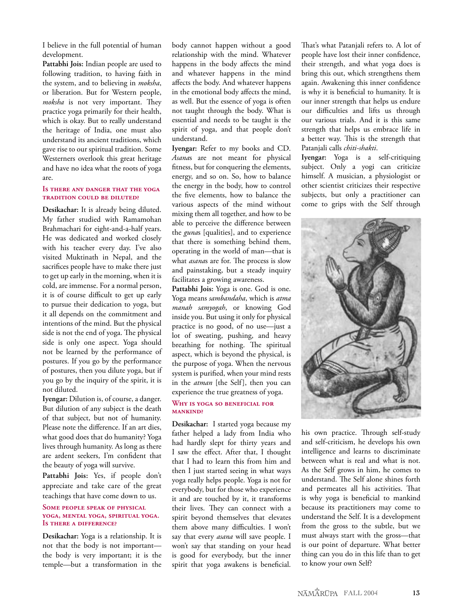I believe in the full potential of human development.

**Pattabhi Jois:** Indian people are used to following tradition, to having faith in the system, and to believing in *moksha*, or liberation. But for Western people, *moksha* is not very important. They practice yoga primarily for their health, which is okay. But to really understand the heritage of India, one must also understand its ancient traditions, which gave rise to our spiritual tradition. Some Westerners overlook this great heritage and have no idea what the roots of yoga are.

### **IS THERE ANY DANGER THAT THE YOGA TRADITION COULD BE DILUTED?**

**Desikachar:** It is already being diluted. My father studied with Ramamohan Brahmachari for eight-and-a-half years. He was dedicated and worked closely with his teacher every day. I've also visited Muktinath in Nepal, and the sacrifices people have to make there just to get up early in the morning, when it is cold, are immense. For a normal person, it is of course difficult to get up early to pursue their dedication to yoga, but it all depends on the commitment and intentions of the mind. But the physical side is not the end of yoga. The physical side is only one aspect. Yoga should not be learned by the performance of postures. If you go by the performance of postures, then you dilute yoga, but if you go by the inquiry of the spirit, it is not diluted.

**Iyengar:** Dilution is, of course, a danger. But dilution of any subject is the death of that subject, but not of humanity. Please note the difference. If an art dies, what good does that do humanity? Yoga lives through humanity. As long as there are ardent seekers, I'm confident that the beauty of yoga will survive.

**Pattabhi Jois:** Yes, if people don't appreciate and take care of the great teachings that have come down to us.

#### **SOME PEOPLE SPEAK OF PHYSICAL YOGA, MENTAL YOGA, SPIRITUAL YOGA. IS THERE A DIFFERENCE?**

**Desikachar:** Yoga is a relationship. It is not that the body is not important the body is very important; it is the temple—but a transformation in the

body cannot happen without a good relationship with the mind. Whatever happens in the body affects the mind and whatever happens in the mind affects the body. And whatever happens in the emotional body affects the mind, as well. But the essence of yoga is often not taught through the body. What is essential and needs to be taught is the spirit of yoga, and that people don't understand.

**Iyengar:** Refer to my books and CD. *Asana*s are not meant for physical fitness, but for conquering the elements, energy, and so on. So, how to balance the energy in the body, how to control the five elements, how to balance the various aspects of the mind without mixing them all together, and how to be able to perceive the difference between the *guna*s [qualities], and to experience that there is something behind them, operating in the world of man—that is what *asana*s are for. The process is slow and painstaking, but a steady inquiry facilitates a growing awareness.

**Pattabhi Jois:** Yoga is one. God is one. Yoga means *sambandaha*, which is *atma manah samyogah*, or knowing God inside you. But using it only for physical practice is no good, of no use—just a lot of sweating, pushing, and heavy breathing for nothing. The spiritual aspect, which is beyond the physical, is the purpose of yoga. When the nervous system is purified, when your mind rests in the *atman* [the Self], then you can experience the true greatness of yoga.

### **WHY IS YOGA SO BENEFICIAL FOR MANKIND?**

**Desikachar:** I started yoga because my father helped a lady from India who had hardly slept for thirty years and I saw the effect. After that, I thought that I had to learn this from him and then I just started seeing in what ways yoga really helps people. Yoga is not for everybody, but for those who experience it and are touched by it, it transforms their lives. They can connect with a spirit beyond themselves that elevates them above many difficulties. I won't say that every *asana* will save people. I won't say that standing on your head is good for everybody, but the inner spirit that yoga awakens is beneficial.

That's what Patanjali refers to. A lot of people have lost their inner confidence, their strength, and what yoga does is bring this out, which strengthens them again. Awakening this inner confidence is why it is beneficial to humanity. It is our inner strength that helps us endure our difficulties and lifts us through our various trials. And it is this same strength that helps us embrace life in a better way. This is the strength that Patanjali calls *chiti-shakti*.

**Iyengar:** Yoga is a self-critiquing subject. Only a yogi can criticize himself. A musician, a physiologist or other scientist criticizes their respective subjects, but only a practitioner can come to grips with the Self through



his own practice. Through self-study and self-criticism, he develops his own intelligence and learns to discriminate between what is real and what is not. As the Self grows in him, he comes to understand. The Self alone shines forth and permeates all his activities. That is why yoga is beneficial to mankind because its practitioners may come to understand the Self. It is a development from the gross to the subtle, but we must always start with the gross—that is our point of departure. What better thing can you do in this life than to get to know your own Self?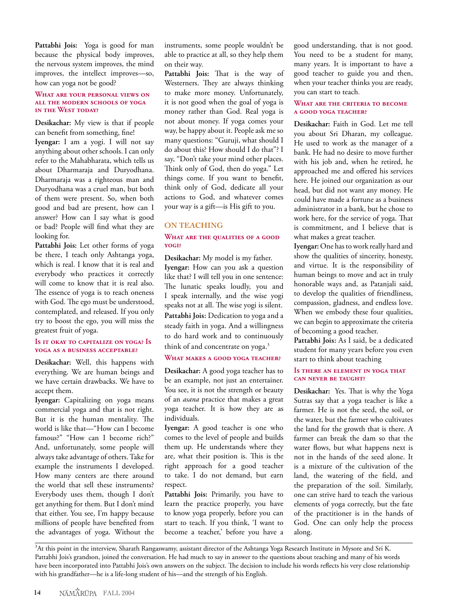**Pattabhi Jois:** Yoga is good for man because the physical body improves, the nervous system improves, the mind improves, the intellect improves—so, how can yoga not be good?

#### **WHAT ARE YOUR PERSONAL VIEWS ON ALL THE MODERN SCHOOLS OF YOGA IN THE WEST TODAY?**

**Desikachar:** My view is that if people can benefit from something, fine! **Iyengar:** I am a yogi. I will not say anything about other schools. I can only refer to the Mahabharata, which tells us about Dharmaraja and Duryodhana. Dharmaraja was a righteous man and Duryodhana was a cruel man, but both of them were present. So, when both good and bad are present, how can I answer? How can I say what is good or bad? People will find what they are looking for.

**Pattabhi Jois:** Let other forms of yoga be there, I teach only Ashtanga yoga, which is real. I know that it is real and everybody who practices it correctly will come to know that it is real also. The essence of yoga is to reach oneness with God. The ego must be understood, contemplated, and released. If you only try to boost the ego, you will miss the greatest fruit of yoga.

### **IS IT OKAY TO CAPITALIZE ON YOGA? IS YOGA AS A BUSINESS ACCEPTABLE?**

**Desikachar:** Well, this happens with everything. We are human beings and we have certain drawbacks. We have to accept them.

**Iyengar:** Capitalizing on yoga means commercial yoga and that is not right. But it is the human mentality. The world is like that—"How can I become famous?" "How can I become rich?" And, unfortunately, some people will always take advantage of others. Take for example the instruments I developed. How many centers are there around the world that sell these instruments? Everybody uses them, though I don't get anything for them. But I don't mind that either. You see, I'm happy because millions of people have benefited from the advantages of yoga. Without the instruments, some people wouldn't be able to practice at all, so they help them on their way.

**Pattabhi Jois:** That is the way of Westerners. They are always thinking to make more money. Unfortunately, it is not good when the goal of yoga is money rather than God. Real yoga is not about money. If yoga comes your way, be happy about it. People ask me so many questions: "Guruji, what should I do about this? How should I do that"? I say, "Don't take your mind other places. Think only of God, then do yoga." Let things come. If you want to benefit, think only of God, dedicate all your actions to God, and whatever comes your way is a gift—is His gift to you.

## **ON TEACHING**

### **WHAT ARE THE QUALITIES OF A GOOD YOGI?**

**Desikachar:** My model is my father. **Iyengar:** How can you ask a question like that? I will tell you in one sentence: The lunatic speaks loudly, you and I speak internally, and the wise yogi speaks not at all. The wise yogi is silent. **Pattabhi Jois:** Dedication to yoga and a steady faith in yoga. And a willingness to do hard work and to continuously think of and concentrate on yoga.<sup>3</sup>

### **WHAT MAKES A GOOD YOGA TEACHER?**

**Desikachar:** A good yoga teacher has to be an example, not just an entertainer. You see, it is not the strength or beauty of an *asana* practice that makes a great yoga teacher. It is how they are as individuals.

**Iyengar:** A good teacher is one who comes to the level of people and builds them up. He understands where they are, what their position is. This is the right approach for a good teacher to take. I do not demand, but earn respect.

**Pattabhi Jois:** Primarily, you have to learn the practice properly, you have to know yoga properly, before you can start to teach. If you think, 'I want to become a teacher,' before you have a

good understanding, that is not good. You need to be a student for many, many years. It is important to have a good teacher to guide you and then, when your teacher thinks you are ready, you can start to teach.

### **WHAT ARE THE CRITERIA TO BECOME A GOOD YOGA TEACHER?**

**Desikachar:** Faith in God. Let me tell you about Sri Dharan, my colleague. He used to work as the manager of a bank. He had no desire to move further with his job and, when he retired, he approached me and offered his services here. He joined our organization as our head, but did not want any money. He could have made a fortune as a business administrator in a bank, but he chose to work here, for the service of yoga. That is commitment, and I believe that is what makes a great teacher.

**Iyengar:** One has to work really hard and show the qualities of sincerity, honesty, and virtue. It is the responsibility of human beings to move and act in truly honorable ways and, as Patanjali said, to develop the qualities of friendliness, compassion, gladness, and endless love. When we embody these four qualities, we can begin to approximate the criteria of becoming a good teacher.

**Pattabhi Jois:** As I said, be a dedicated student for many years before you even start to think about teaching

### **IS THERE AN ELEMENT IN YOGA THAT CAN NEVER BE TAUGHT?**

**Desikachar:** Yes. That is why the Yoga Sutras say that a yoga teacher is like a farmer. He is not the seed, the soil, or the water, but the farmer who cultivates the land for the growth that is there. A farmer can break the dam so that the water flows, but what happens next is not in the hands of the seed alone. It is a mixture of the cultivation of the land, the watering of the field, and the preparation of the soil. Similarly, one can strive hard to teach the various elements of yoga correctly, but the fate of the practitioner is in the hands of God. One can only help the process along.

<sup>3</sup> At this point in the interview, Sharath Rangaswamy, assistant director of the Ashtanga Yoga Research Institute in Mysore and Sri K. Pattabhi Jois's grandson, joined the conversation. He had much to say in answer to the questions about teaching and many of his words have been incorporated into Pattabhi Jois's own answers on the subject. The decision to include his words reflects his very close relationship with his grandfather—he is a life-long student of his—and the strength of his English.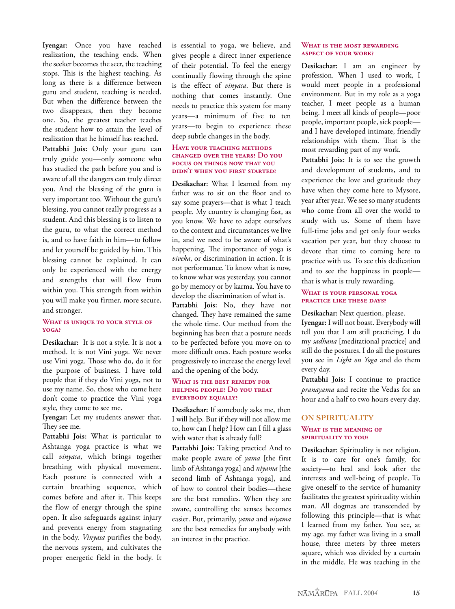**Iyengar:** Once you have reached realization, the teaching ends. When the seeker becomes the seer, the teaching stops. This is the highest teaching. As long as there is a difference between guru and student, teaching is needed. But when the difference between the two disappears, then they become one. So, the greatest teacher teaches the student how to attain the level of realization that he himself has reached. **Pattabhi Jois:** Only your guru can truly guide you—only someone who has studied the path before you and is aware of all the dangers can truly direct you. And the blessing of the guru is very important too. Without the guru's blessing, you cannot really progress as a student. And this blessing is to listen to the guru, to what the correct method is, and to have faith in him—to follow and let yourself be guided by him. This blessing cannot be explained. It can only be experienced with the energy and strengths that will flow from within you. This strength from within you will make you firmer, more secure, and stronger.

### **WHAT IS UNIQUE TO YOUR STYLE OF YOGA?**

**Desikachar:** It is not a style. It is not a method. It is not Vini yoga. We never use Vini yoga. Those who do, do it for the purpose of business. I have told people that if they do Vini yoga, not to use my name. So, those who come here don't come to practice the Vini yoga style, they come to see me.

**Iyengar:** Let my students answer that. They see me.

**Pattabhi Jois:** What is particular to Ashtanga yoga practice is what we call *vinyasa*, which brings together breathing with physical movement. Each posture is connected with a certain breathing sequence, which comes before and after it. This keeps the flow of energy through the spine open. It also safeguards against injury and prevents energy from stagnating in the body. *Vinyasa* purifies the body, the nervous system, and cultivates the proper energetic field in the body. It

is essential to yoga, we believe, and gives people a direct inner experience of their potential. To feel the energy continually flowing through the spine is the effect of *vinyasa*. But there is nothing that comes instantly. One needs to practice this system for many years—a minimum of five to ten years—to begin to experience these deep subtle changes in the body.

#### **HAVE YOUR TEACHING METHODS CHANGED OVER THE YEARS? DO YOU FOCUS ON THINGS NOW THAT YOU DIDN'T WHEN YOU FIRST STARTED?**

**Desikachar:** What I learned from my father was to sit on the floor and to say some prayers—that is what I teach people. My country is changing fast, as you know. We have to adapt ourselves to the context and circumstances we live in, and we need to be aware of what's happening. The importance of yoga is *viveka*, or discrimination in action. It is not performance. To know what is now, to know what was yesterday, you cannot go by memory or by karma. You have to develop the discrimination of what is.

**Pattabhi Jois:** No, they have not changed. They have remained the same the whole time. Our method from the beginning has been that a posture needs to be perfected before you move on to more difficult ones. Each posture works progressively to increase the energy level and the opening of the body.

### **WHAT IS THE BEST REMEDY FOR HELPING PEOPLE? DO YOU TREAT EVERYBODY EQUALLY?**

**Desikachar:** If somebody asks me, then I will help. But if they will not allow me to, how can I help? How can I fill a glass with water that is already full?

**Pattabhi Jois:** Taking practice! And to make people aware of *yama* [the first limb of Ashtanga yoga] and *niyama* [the second limb of Ashtanga yoga], and of how to control their bodies—these are the best remedies. When they are aware, controlling the senses becomes easier. But, primarily, *yama* and *niyama* are the best remedies for anybody with an interest in the practice.

#### **WHAT IS THE MOST REWARDING ASPECT OF YOUR WORK?**

**Desikachar:** I am an engineer by profession. When I used to work, I would meet people in a professional environment. But in my role as a yoga teacher, I meet people as a human being. I meet all kinds of people—poor people, important people, sick people and I have developed intimate, friendly relationships with them. That is the most rewarding part of my work.

**Pattabhi Jois:** It is to see the growth and development of students, and to experience the love and gratitude they have when they come here to Mysore, year after year. We see so many students who come from all over the world to study with us. Some of them have full-time jobs and get only four weeks vacation per year, but they choose to devote that time to coming here to practice with us. To see this dedication and to see the happiness in people that is what is truly rewarding.

### **WHAT IS YOUR PERSONAL YOGA PRACTICE LIKE THESE DAYS?**

**Desikachar:** Next question, please. **Iyengar:** I will not boast. Everybody will tell you that I am still practicing. I do my *sadhana* [meditational practice] and still do the postures. I do all the postures you see in *Light on Yoga* and do them every day.

**Pattabhi Jois:** I continue to practice *pranayama* and recite the Vedas for an hour and a half to two hours every day.

### **ON SPIRITUALITY WHAT IS THE MEANING OF SPIRITUALITY TO YOU?**

**Desikachar:** Spirituality is not religion. It is to care for one's family, for society—to heal and look after the interests and well-being of people. To give oneself to the service of humanity facilitates the greatest spirituality within man. All dogmas are transcended by following this principle—that is what I learned from my father. You see, at my age, my father was living in a small house, three meters by three meters square, which was divided by a curtain in the middle. He was teaching in the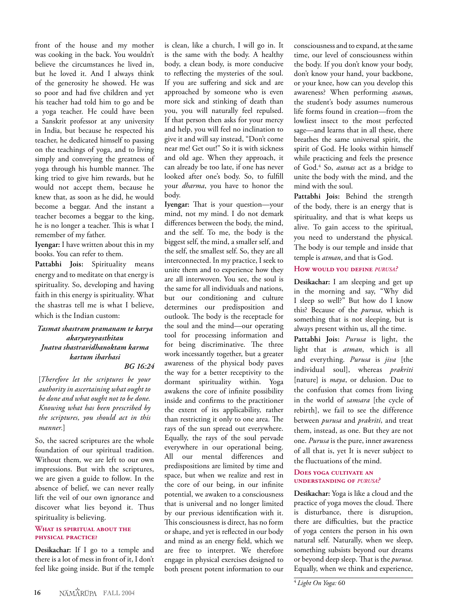front of the house and my mother was cooking in the back. You wouldn't believe the circumstances he lived in, but he loved it. And I always think of the generosity he showed. He was so poor and had five children and yet his teacher had told him to go and be a yoga teacher. He could have been a Sanskrit professor at any university in India, but because he respected his teacher, he dedicated himself to passing on the teachings of yoga, and to living simply and conveying the greatness of yoga through his humble manner. The king tried to give him rewards, but he would not accept them, because he knew that, as soon as he did, he would become a beggar. And the instant a teacher becomes a beggar to the king, he is no longer a teacher. This is what I remember of my father.

**Iyengar:** I have written about this in my books. You can refer to them.

**Pattabhi Jois:** Spirituality means energy and to meditate on that energy is spirituality. So, developing and having faith in this energy is spirituality. What the shastras tell me is what I believe, which is the Indian custom:

### *Tasmat shastram pramanam te karya akaryavyvasthitau Jnatva shastravidhanoktam karma kartum iharhasi*

*BG 16:24*

[*Therefore let the scriptures be your authority in ascertaining what ought to be done and what ought not to be done. Knowing what has been prescribed by the scriptures, you should act in this manner.*]

So, the sacred scriptures are the whole foundation of our spiritual tradition. Without them, we are left to our own impressions. But with the scriptures, we are given a guide to follow. In the absence of belief, we can never really lift the veil of our own ignorance and discover what lies beyond it. Thus spirituality is believing.

### **WHAT IS SPIRITUAL ABOUT THE PHYSICAL PRACTICE?**

**Desikachar:** If I go to a temple and there is a lot of mess in front of it, I don't feel like going inside. But if the temple is clean, like a church, I will go in. It is the same with the body. A healthy body, a clean body, is more conducive to reflecting the mysteries of the soul. If you are suffering and sick and are approached by someone who is even more sick and stinking of death than you, you will naturally feel repulsed. If that person then asks for your mercy and help, you will feel no inclination to give it and will say instead, "Don't come near me! Get out!" So it is with sickness and old age. When they approach, it can already be too late, if one has never looked after one's body. So, to fulfill your *dharma*, you have to honor the body.

**Iyengar:** That is your question—your mind, not my mind. I do not demark differences between the body, the mind, and the self. To me, the body is the biggest self, the mind, a smaller self, and the self, the smallest self. So, they are all interconnected. In my practice, I seek to unite them and to experience how they are all interwoven. You see, the soul is the same for all individuals and nations, but our conditioning and culture determines our predisposition and outlook. The body is the receptacle for the soul and the mind—our operating tool for processing information and for being discriminative. The three work incessantly together, but a greater awareness of the physical body paves the way for a better receptivity to the dormant spirituality within. Yoga awakens the core of infinite possibility inside and confirms to the practitioner the extent of its applicability, rather than restricting it only to one area. The rays of the sun spread out everywhere. Equally, the rays of the soul pervade everywhere in our operational being. All our mental differences and predispositions are limited by time and space, but when we realize and rest in the core of our being, in our infinite potential, we awaken to a consciousness that is universal and no longer limited by our previous identification with it. This consciousness is direct, has no form or shape, and yet is reflected in our body and mind as an energy field, which we are free to interpret. We therefore engage in physical exercises designed to both present potent information to our

consciousness and to expand, at the same time, our level of consciousness within the body. If you don't know your body, don't know your hand, your backbone, or your knee, how can you develop this awareness? When performing *asana*s, the student's body assumes numerous life forms found in creation—from the lowliest insect to the most perfected sage—and learns that in all these, there breathes the same universal spirit, the spirit of God. He looks within himself while practicing and feels the presence of God.4 So, *asanas* act as a bridge to unite the body with the mind, and the mind with the soul.

**Pattabhi Jois:** Behind the strength of the body, there is an energy that is spirituality, and that is what keeps us alive. To gain access to the spiritual, you need to understand the physical. The body is our temple and inside that temple is *atman*, and that is God.

### **HOW WOULD YOU DEFINE** *PURUSA?*

**Desikachar:** I am sleeping and get up in the morning and say, "Why did I sleep so well?" But how do I know this? Because of the *purusa*, which is something that is not sleeping, but is always present within us, all the time.

**Pattabhi Jois:** *Purusa* is light, the light that is *atman*, which is all and everything. *Purusa* is *jiva* [the individual soul], whereas *prakriti* [nature] is *maya*, or delusion. Due to the confusion that comes from living in the world of *samsara* [the cycle of rebirth], we fail to see the difference between *purusa* and *prakriti*, and treat them, instead, as one. But they are not one. *Purusa* is the pure, inner awareness of all that is, yet It is never subject to the fluctuations of the mind.

### **DOES YOGA CULTIVATE AN UNDERSTANDING OF** *PURUSA?*

**Desikachar:** Yoga is like a cloud and the practice of yoga moves the cloud. There is disturbance, there is disruption, there are difficulties, but the practice of yoga centers the person in his own natural self. Naturally, when we sleep, something subsists beyond our dreams or beyond deep sleep. That is the *purusa*. Equally, when we think and experience,

<sup>4</sup>*Light On Yoga:* 60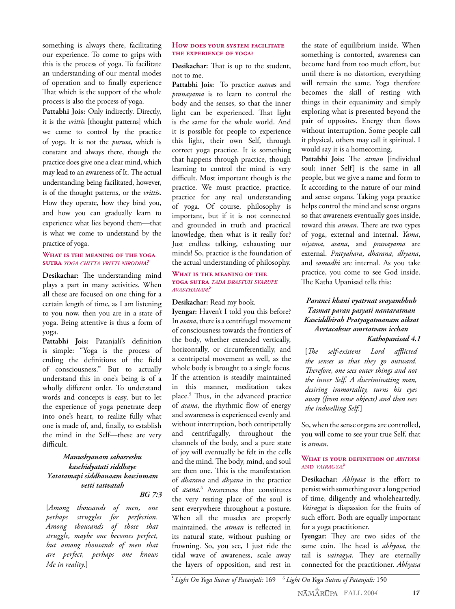something is always there, facilitating our experience. To come to grips with this is the process of yoga. To facilitate an understanding of our mental modes of operation and to finally experience That which is the support of the whole process is also the process of yoga.

Pattabhi Jois: Only indirectly. Directly, it is the *vritti*s [thought patterns] which we come to control by the practice of yoga. It is not the *purusa*, which is constant and always there, though the practice does give one a clear mind, which may lead to an awareness of It. The actual understanding being facilitated, however, is of the thought patterns, or the *vritti*s. How they operate, how they bind you, and how you can gradually learn to experience what lies beyond them—that is what we come to understand by the practice of yoga.

#### **WHAT IS THE MEANING OF THE YOGA SUTRA** *YOGA CHITTA VRITTI NIRODHA?*

**Desikachar:** The understanding mind plays a part in many activities. When all these are focused on one thing for a certain length of time, as I am listening to you now, then you are in a state of yoga. Being attentive is thus a form of yoga.

**Pattabhi Jois:** Patanjali's definition is simple: "Yoga is the process of ending the definitions of the field of consciousness." But to actually understand this in one's being is of a wholly different order. To understand words and concepts is easy, but to let the experience of yoga penetrate deep into one's heart, to realize fully what one is made of, and, finally, to establish the mind in the Self—these are very difficult.

### *Manushyanam sahasreshu kaschidyatati siddhaye Yatatamapi siddhanaam kascinmam vetti tattvatah*

### *BG 7:3*

[*Among thousands of men, one perhaps struggles for perfection. Among thousands of those that struggle, maybe one becomes perfect, but among thousands of men that are perfect, perhaps one knows Me in reality.*]

### **HOW DOES YOUR SYSTEM FACILITATE THE EXPERIENCE OF YOGA?**

**Desikachar:** That is up to the student, not to me.

**Pattabhi Jois:** To practice *asana*s and *pranayama* is to learn to control the body and the senses, so that the inner light can be experienced. That light is the same for the whole world. And it is possible for people to experience this light, their own Self, through correct yoga practice. It is something that happens through practice, though learning to control the mind is very difficult. Most important though is the practice. We must practice, practice, practice for any real understanding of yoga. Of course, philosophy is important, but if it is not connected and grounded in truth and practical knowledge, then what is it really for? Just endless talking, exhausting our minds! So, practice is the foundation of the actual understanding of philosophy.

#### **WHAT IS THE MEANING OF THE YOGA SUTRA** *TADA DRASTUH SVARUPE AVASTHANAM?*

### **Desikachar:** Read my book.

**Iyengar:** Haven't I told you this before? In *asana*, there is a centrifugal movement of consciousness towards the frontiers of the body, whether extended vertically, horizontally, or circumferentially, and a centripetal movement as well, as the whole body is brought to a single focus. If the attention is steadily maintained in this manner, meditation takes place.5 Thus, in the advanced practice of *asana*, the rhythmic flow of energy and awareness is experienced evenly and without interruption, both centripetally and centrifugally, throughout the channels of the body, and a pure state of joy will eventually be felt in the cells and the mind. The body, mind, and soul are then one. This is the manifestation of *dharana* and *dhyana* in the practice of *asana*.<sup>6</sup> Awareness that constitutes the very resting place of the soul is sent everywhere throughout a posture. When all the muscles are properly maintained, the *atman* is reflected in its natural state, without pushing or frowning. So, you see, I just ride the tidal wave of awareness, scale away the layers of opposition, and rest in

the state of equilibrium inside. When something is contorted, awareness can become hard from too much effort, but until there is no distortion, everything will remain the same. Yoga therefore becomes the skill of resting with things in their equanimity and simply exploring what is presented beyond the pair of opposites. Energy then flows without interruption. Some people call it physical, others may call it spiritual. I would say it is a homecoming.

**Pattabhi Jois:** The *atman* [individual soul; inner Self] is the same in all people, but we give a name and form to It according to the nature of our mind and sense organs. Taking yoga practice helps control the mind and sense organs so that awareness eventually goes inside, toward this *atman*. There are two types of yoga, external and internal. *Yama*, *niyama*, *asana*, and *pranayama* are external. *Pratyahara*, *dharana*, *dhyana*, and *samadhi* are internal. As you take practice, you come to see God inside. The Katha Upanisad tells this:

### *Paranci khani vyatrnat svayambhuh Tasmat paran pasyati nantaratman Kasciddhirah Pratyagatmanam aiksat Avrtacaksur amrtatvam icchan Kathopanisad 4.1*

[*The self-existent Lord afflicted the senses so that they go outward. Therefore, one sees outer things and not the inner Self. A discriminating man, desiring immortality, turns his eyes away (from sense objects) and then sees the indwelling Self.*]

So, when the sense organs are controlled, you will come to see your true Self, that is *atman*.

### **WHAT IS YOUR DEFINITION OF** *ABHYASA* AND *VAIRAGYA?*

**Desikachar:** *Abhyasa* is the effort to persist with something over a long period of time, diligently and wholeheartedly. *Vairagya* is dispassion for the fruits of such effort. Both are equally important for a yoga practitioner.

**Iyengar:** They are two sides of the same coin. The head is *abhyasa*, the tail is *vairagya*. They are eternally connected for the practitioner. *Abhyasa*